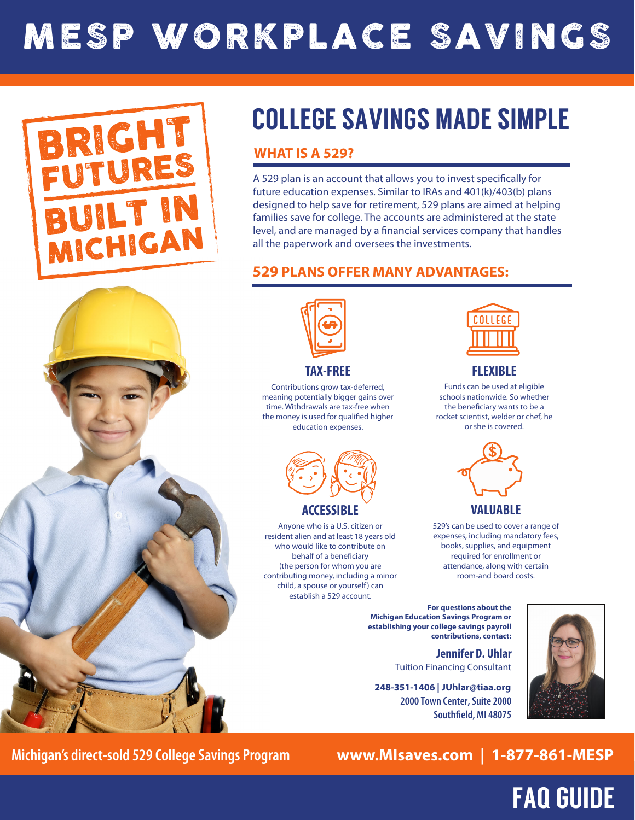# MESP WORKPLACE SAVINGS



# COLLEGE SAVINGS MADE SIMPLE

## **WHAT IS A 529?**

A 529 plan is an account that allows you to invest specifically for future education expenses. Similar to IRAs and 401(k)/403(b) plans designed to help save for retirement, 529 plans are aimed at helping families save for college. The accounts are administered at the state level, and are managed by a financial services company that handles all the paperwork and oversees the investments.

### **529 PLANS OFFER MANY ADVANTAGES:**





**TAX-FREE**

Contributions grow tax-deferred, meaning potentially bigger gains over time. Withdrawals are tax-free when the money is used for qualified higher education expenses.



Anyone who is a U.S. citizen or resident alien and at least 18 years old who would like to contribute on behalf of a beneficiary (the person for whom you are contributing money, including a minor child, a spouse or yourself) can establish a 529 account.



**FLEXIBLE**

Funds can be used at eligible schools nationwide. So whether the beneficiary wants to be a rocket scientist, welder or chef, he or she is covered.



529's can be used to cover a range of expenses, including mandatory fees, books, supplies, and equipment required for enrollment or

attendance, along with certain room-and board costs.

**For questions about the Michigan Education Savings Program or establishing your college savings payroll contributions, contact:**

> **Jennifer D. Uhlar** Tuition Financing Consultant

**2000 Town Center, Suite 2000 Southfield, MI 48075 248-351-1406 | JUhlar@tiaa.org**



FAQ GUIDE

**Michigan's direct-sold 529 College Savings Program www.MIsaves.com | 1-877-861-MESP**